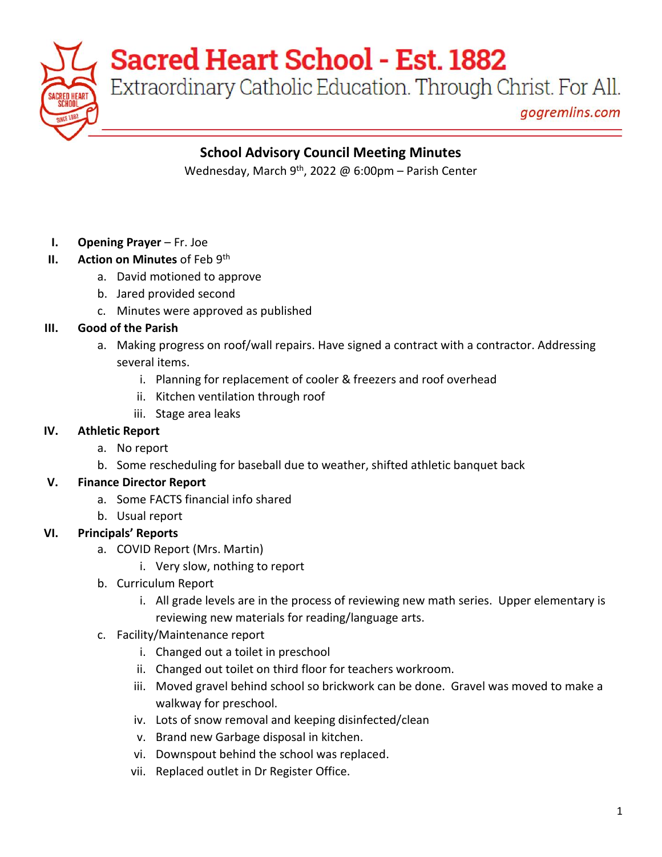**Sacred Heart School - Est. 1882** 

Extraordinary Catholic Education. Through Christ. For All.

gogremlins.com

## **School Advisory Council Meeting Minutes**

Wednesday, March 9<sup>th</sup>, 2022 @ 6:00pm – Parish Center

- **I. Opening Prayer** Fr. Joe
- **II.** Action on Minutes of Feb 9<sup>th</sup>
	- a. David motioned to approve
	- b. Jared provided second
	- c. Minutes were approved as published

#### **III. Good of the Parish**

- a. Making progress on roof/wall repairs. Have signed a contract with a contractor. Addressing several items.
	- i. Planning for replacement of cooler & freezers and roof overhead
	- ii. Kitchen ventilation through roof
	- iii. Stage area leaks

#### **IV. Athletic Report**

- a. No report
- b. Some rescheduling for baseball due to weather, shifted athletic banquet back

#### **V. Finance Director Report**

- a. Some FACTS financial info shared
- b. Usual report

#### **VI. Principals' Reports**

- a. COVID Report (Mrs. Martin)
	- i. Very slow, nothing to report
- b. Curriculum Report
	- i. All grade levels are in the process of reviewing new math series. Upper elementary is reviewing new materials for reading/language arts.
- c. Facility/Maintenance report
	- i. Changed out a toilet in preschool
	- ii. Changed out toilet on third floor for teachers workroom.
	- iii. Moved gravel behind school so brickwork can be done. Gravel was moved to make a walkway for preschool.
	- iv. Lots of snow removal and keeping disinfected/clean
	- v. Brand new Garbage disposal in kitchen.
	- vi. Downspout behind the school was replaced.
	- vii. Replaced outlet in Dr Register Office.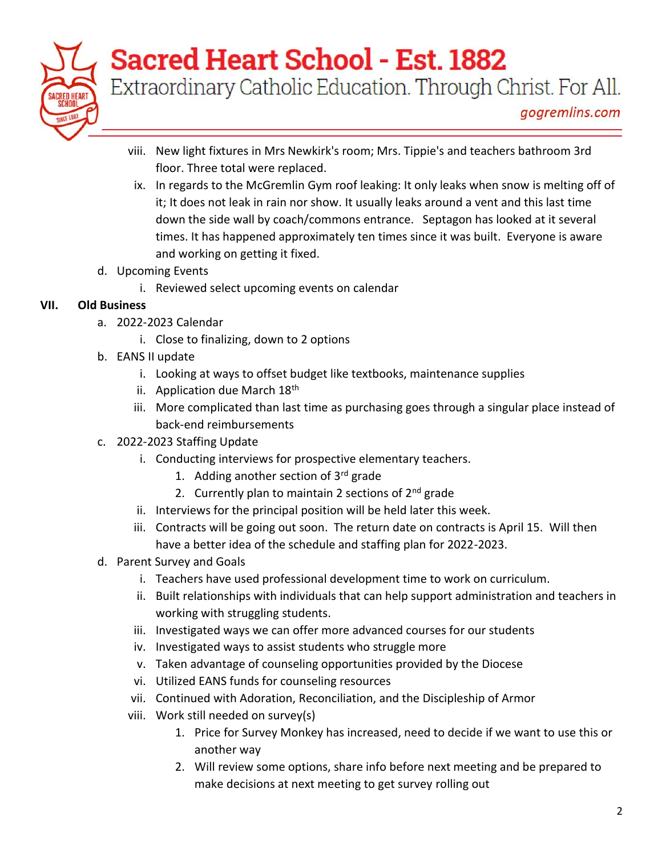

# **Sacred Heart School - Est. 1882**

Extraordinary Catholic Education. Through Christ. For All.

- viii. New light fixtures in Mrs Newkirk's room; Mrs. Tippie's and teachers bathroom 3rd floor. Three total were replaced.
- ix. In regards to the McGremlin Gym roof leaking: It only leaks when snow is melting off of it; It does not leak in rain nor show. It usually leaks around a vent and this last time down the side wall by coach/commons entrance. Septagon has looked at it several times. It has happened approximately ten times since it was built. Everyone is aware and working on getting it fixed.
- d. Upcoming Events
	- i. Reviewed select upcoming events on calendar

### **VII. Old Business**

- a. 2022-2023 Calendar
	- i. Close to finalizing, down to 2 options
- b. EANS II update
	- i. Looking at ways to offset budget like textbooks, maintenance supplies
	- ii. Application due March  $18<sup>th</sup>$
	- iii. More complicated than last time as purchasing goes through a singular place instead of back-end reimbursements
- c. 2022-2023 Staffing Update
	- i. Conducting interviews for prospective elementary teachers.
		- 1. Adding another section of  $3<sup>rd</sup>$  grade
		- 2. Currently plan to maintain 2 sections of  $2^{nd}$  grade
	- ii. Interviews for the principal position will be held later this week.
	- iii. Contracts will be going out soon. The return date on contracts is April 15. Will then have a better idea of the schedule and staffing plan for 2022-2023.
- d. Parent Survey and Goals
	- i. Teachers have used professional development time to work on curriculum.
	- ii. Built relationships with individuals that can help support administration and teachers in working with struggling students.
	- iii. Investigated ways we can offer more advanced courses for our students
	- iv. Investigated ways to assist students who struggle more
	- v. Taken advantage of counseling opportunities provided by the Diocese
	- vi. Utilized EANS funds for counseling resources
	- vii. Continued with Adoration, Reconciliation, and the Discipleship of Armor
	- viii. Work still needed on survey(s)
		- 1. Price for Survey Monkey has increased, need to decide if we want to use this or another way
		- 2. Will review some options, share info before next meeting and be prepared to make decisions at next meeting to get survey rolling out